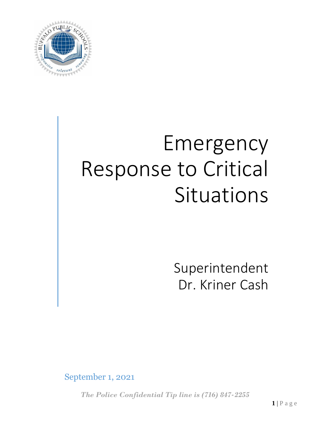

# Emergency Response to Critical Situations

Superintendent Dr. Kriner Cash

September 1, 2021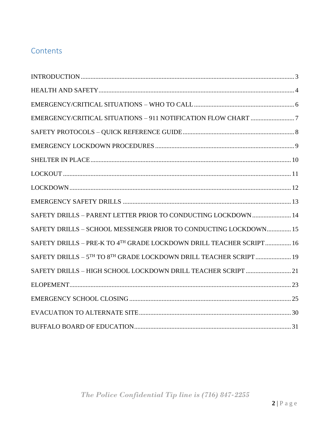# Contents

| SAFETY DRILLS - PARENT LETTER PRIOR TO CONDUCTING LOCKDOWN  14      |
|---------------------------------------------------------------------|
| SAFETY DRILLS - SCHOOL MESSENGER PRIOR TO CONDUCTING LOCKDOWN 15    |
| SAFETY DRILLS - PRE-K TO 4TH GRADE LOCKDOWN DRILL TEACHER SCRIPT 16 |
| SAFETY DRILLS - 5TH TO 8TH GRADE LOCKDOWN DRILL TEACHER SCRIPT 19   |
| SAFETY DRILLS - HIGH SCHOOL LOCKDOWN DRILL TEACHER SCRIPT  21       |
|                                                                     |
|                                                                     |
|                                                                     |
|                                                                     |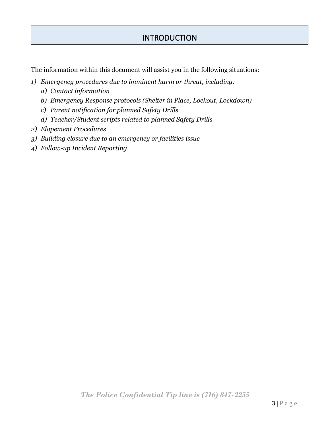# **INTRODUCTION**

<span id="page-2-0"></span>The information within this document will assist you in the following situations:

- *1) Emergency procedures due to imminent harm or threat, including:*
	- *a) Contact information*
	- *b) Emergency Response protocols (Shelter in Place, Lockout, Lockdown)*
	- *c) Parent notification for planned Safety Drills*
	- *d) Teacher/Student scripts related to planned Safety Drills*
- *2) Elopement Procedures*
- *3) Building closure due to an emergency or facilities issue*
- *4) Follow-up Incident Reporting*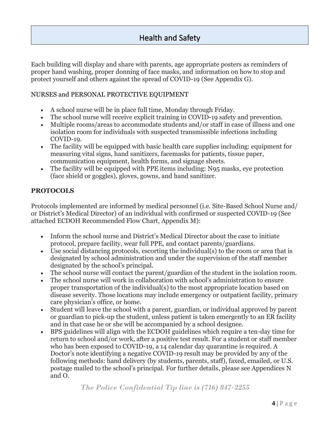Each building will display and share with parents, age appropriate posters as reminders of proper hand washing, proper donning of face masks, and information on how to stop and protect yourself and others against the spread of COVID-19 (See Appendix G).

#### NURSES and PERSONAL PROTECTIVE EQUIPMENT

- A school nurse will be in place full time, Monday through Friday.
- The school nurse will receive explicit training in COVID-19 safety and prevention.
- Multiple rooms/areas to accommodate students and/or staff in case of illness and one isolation room for individuals with suspected transmissible infections including COVID-19.
- The facility will be equipped with basic health care supplies including: equipment for measuring vital signs, hand sanitizers, facemasks for patients, tissue paper, communication equipment, health forms, and signage sheets.
- The facility will be equipped with PPE items including: N95 masks, eye protection (face shield or goggles), gloves, gowns, and hand sanitizer.

#### **PROTOCOLS**

Protocols implemented are informed by medical personnel (i.e. Site-Based School Nurse and/ or District's Medical Director) of an individual with confirmed or suspected COVID-19 (See attached ECDOH Recommended Flow Chart, Appendix M):

- Inform the school nurse and District's Medical Director about the case to initiate protocol, prepare facility, wear full PPE, and contact parents/guardians.
- Use social distancing protocols, escorting the individual(s) to the room or area that is designated by school administration and under the supervision of the staff member designated by the school's principal.
- The school nurse will contact the parent/guardian of the student in the isolation room.
- The school nurse will work in collaboration with school's administration to ensure proper transportation of the individual(s) to the most appropriate location based on disease severity. Those locations may include emergency or outpatient facility, primary care physician's office, or home.
- Student will leave the school with a parent, guardian, or individual approved by parent or guardian to pick-up the student, unless patient is taken emergently to an ER facility and in that case he or she will be accompanied by a school designee.
- BPS guidelines will align with the ECDOH guidelines which require a ten-day time for return to school and/or work, after a positive test result. For a student or staff member who has been exposed to COVID-19, a 14 calendar day quarantine is required. A Doctor's note identifying a negative COVID-19 result may be provided by any of the following methods: hand delivery (by students, parents, staff), faxed, emailed, or U.S. postage mailed to the school's principal. For further details, please see Appendices N and O.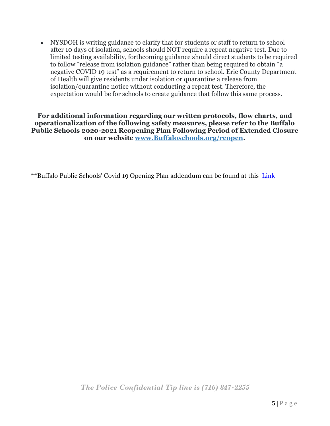• NYSDOH is writing guidance to clarify that for students or staff to return to school after 10 days of isolation, schools should NOT require a repeat negative test. Due to limited testing availability, forthcoming guidance should direct students to be required to follow "release from isolation guidance" rather than being required to obtain "a negative COVID 19 test" as a requirement to return to school. Erie County Department of Health will give residents under isolation or quarantine a release from isolation/quarantine notice without conducting a repeat test. Therefore, the expectation would be for schools to create guidance that follow this same process.

**For additional information regarding our written protocols, flow charts, and operationalization of the following safety measures, please refer to the Buffalo Public Schools 2020-2021 Reopening Plan Following Period of Extended Closure on our website [www.Buffaloschools.org/reopen.](http://www.buffaloschools.org/reopen)**

\*\*Buffalo Public Schools' Covid 19 Opening Plan addendum can be found at this [Link](https://www.buffaloschools.org/Page/97719)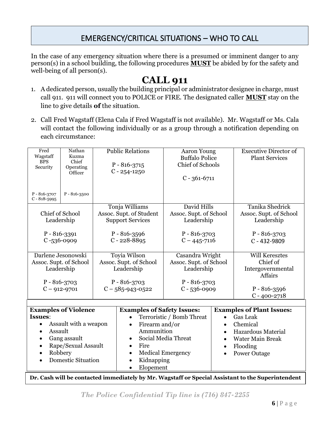# EMERGENCY/CRITICAL SITUATIONS – WHO TO CALL

<span id="page-5-0"></span>In the case of any emergency situation where there is a presumed or imminent danger to any person(s) in a school building, the following procedures **MUST** be abided by for the safety and well-being of all person(s).

# **CALL 911**

- 1. A dedicated person, usually the building principal or administrator designee in charge, must call 911. 911 will connect you to POLICE or FIRE. The designated caller **MUST** stay on the line to give details **of** the situation.
- 2. Call Fred Wagstaff (Elena Cala if Fred Wagstaff is not available). Mr. Wagstaff or Ms. Cala will contact the following individually or as a group through a notification depending on each circumstance:

| Fred<br>Wagstaff<br><b>BPS</b><br>Security                                                                                                                                                                                        | Nathan<br>Kuzma<br>Chief<br>Operating<br>Officer |                                                                                                                                | <b>Public Relations</b><br>$P - 816 - 3715$<br>$C - 254 - 1250$                                    | <b>Aaron Young</b><br><b>Buffalo Police</b><br><b>Chief of Schools</b><br>$C - 361 - 6711$      |                                                                                                                                                     | <b>Executive Director of</b><br><b>Plant Services</b>                                                     |
|-----------------------------------------------------------------------------------------------------------------------------------------------------------------------------------------------------------------------------------|--------------------------------------------------|--------------------------------------------------------------------------------------------------------------------------------|----------------------------------------------------------------------------------------------------|-------------------------------------------------------------------------------------------------|-----------------------------------------------------------------------------------------------------------------------------------------------------|-----------------------------------------------------------------------------------------------------------|
| $P - 816 - 3707$<br>$C - 818 - 5995$                                                                                                                                                                                              | $P - 816 - 3500$                                 |                                                                                                                                |                                                                                                    |                                                                                                 |                                                                                                                                                     |                                                                                                           |
| Chief of School<br>Leadership<br>$P - 816 - 3391$<br>$C - 536 - 0909$                                                                                                                                                             |                                                  | Tonja Williams<br>Assoc. Supt. of Student<br><b>Support Services</b><br>$P - 816 - 3596$<br>$C - 228 - 8895$                   |                                                                                                    | David Hills<br>Assoc. Supt. of School<br>Leadership<br>$P - 816 - 3703$<br>$C - 445 - 7116$     |                                                                                                                                                     | Tanika Shedrick<br>Assoc. Supt. of School<br>Leadership<br>$P - 816 - 3703$<br>$C - 432 - 9809$           |
| Darlene Jesonowski<br>Assoc. Supt. of School<br>Leadership<br>$P - 816 - 3703$<br>$C - 912 - 9701$                                                                                                                                |                                                  |                                                                                                                                | Toyia Wilson<br>Assoc. Supt. of School<br>Leadership<br>$P - 816 - 3703$<br>$C - 585 - 943 - 0522$ | Casandra Wright<br>Assoc. Supt. of School<br>Leadership<br>$P - 816 - 3703$<br>$C - 536 - 0909$ |                                                                                                                                                     | <b>Will Keresztes</b><br>Chief of<br>Intergovernmental<br>Affairs<br>$P - 816 - 3596$<br>$C - 400 - 2718$ |
| <b>Examples of Violence</b><br><b>Issues:</b><br>Assault with a weapon<br>$\bullet$<br>Assault<br>$\bullet$<br>Gang assault<br>$\bullet$<br>Rape/Sexual Assault<br>$\bullet$<br>Robbery<br>$\bullet$<br><b>Domestic Situation</b> |                                                  | <b>Examples of Safety Issues:</b><br>Firearm and/or<br>$\bullet$<br>Ammunition<br>Fire<br>$\bullet$<br>Kidnapping<br>Elopement | Terroristic / Bomb Threat<br>Social Media Threat<br><b>Medical Emergency</b>                       | $\bullet$<br>$\bullet$<br>$\bullet$<br>$\bullet$                                                | <b>Examples of Plant Issues:</b><br><b>Gas Leak</b><br>Chemical<br>Hazardous Material<br><b>Water Main Break</b><br>Flooding<br><b>Power Outage</b> |                                                                                                           |

**Dr. Cash will be contacted immediately by Mr. Wagstaff or Special Assistant to the Superintendent**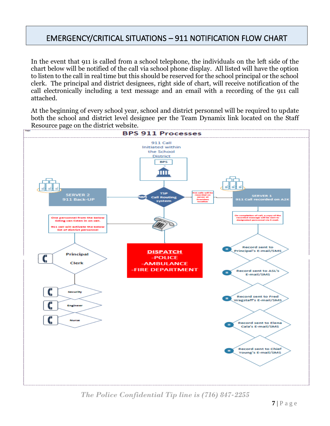# <span id="page-6-0"></span>EMERGENCY/CRITICAL SITUATIONS – 911 NOTIFICATION FLOW CHART

In the event that 911 is called from a school telephone, the individuals on the left side of the chart below will be notified of the call via school phone display. All listed will have the option to listen to the call in real time but this should be reserved for the school principal or the school clerk. The principal and district designees, right side of chart, will receive notification of the call electronically including a text message and an email with a recording of the 911 call attached.

At the beginning of every school year, school and district personnel will be required to update both the school and district level designee per the Team Dynamix link located on the Staff Resource page on the district website.



*The Police Confidential Tip line is (716) 847-2255*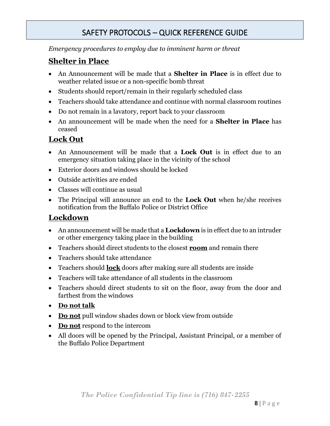# SAFETY PROTOCOLS – QUICK REFERENCE GUIDE

<span id="page-7-0"></span>*Emergency procedures to employ due to imminent harm or threat* 

## **Shelter in Place**

- An Announcement will be made that a **Shelter in Place** is in effect due to weather related issue or a non-specific bomb threat
- Students should report/remain in their regularly scheduled class
- Teachers should take attendance and continue with normal classroom routines
- Do not remain in a lavatory, report back to your classroom
- An announcement will be made when the need for a **Shelter in Place** has ceased

## **Lock Out**

- An Announcement will be made that a **Lock Out** is in effect due to an emergency situation taking place in the vicinity of the school
- Exterior doors and windows should be locked
- Outside activities are ended
- Classes will continue as usual
- The Principal will announce an end to the **Lock Out** when he/she receives notification from the Buffalo Police or District Office

### **Lockdown**

- An announcement will be made that a **Lockdown** is in effect due to an intruder or other emergency taking place in the building
- Teachers should direct students to the closest **room** and remain there
- Teachers should take attendance
- Teachers should **lock** doors after making sure all students are inside
- Teachers will take attendance of all students in the classroom
- Teachers should direct students to sit on the floor, away from the door and farthest from the windows
- **Do not talk**
- **Do not** pull window shades down or block view from outside
- **Do not** respond to the intercom
- All doors will be opened by the Principal, Assistant Principal, or a member of the Buffalo Police Department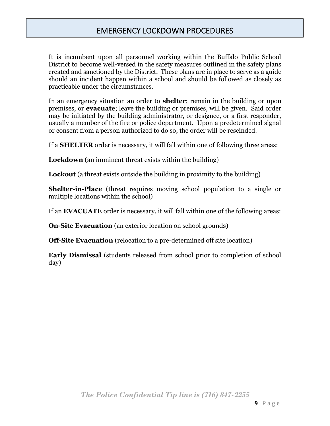# EMERGENCY LOCKDOWN PROCEDURES

<span id="page-8-0"></span>It is incumbent upon all personnel working within the Buffalo Public School District to become well-versed in the safety measures outlined in the safety plans created and sanctioned by the District. These plans are in place to serve as a guide should an incident happen within a school and should be followed as closely as practicable under the circumstances.

In an emergency situation an order to **shelter**; remain in the building or upon premises, or **evacuate**; leave the building or premises, will be given. Said order may be initiated by the building administrator, or designee, or a first responder, usually a member of the fire or police department. Upon a predetermined signal or consent from a person authorized to do so, the order will be rescinded.

If a **SHELTER** order is necessary, it will fall within one of following three areas:

**Lockdown** (an imminent threat exists within the building)

**Lockout** (a threat exists outside the building in proximity to the building)

**Shelter-in-Place** (threat requires moving school population to a single or multiple locations within the school)

If an **EVACUATE** order is necessary, it will fall within one of the following areas:

**On-Site Evacuation** (an exterior location on school grounds)

**Off-Site Evacuation** (relocation to a pre-determined off site location)

**Early Dismissal** (students released from school prior to completion of school day)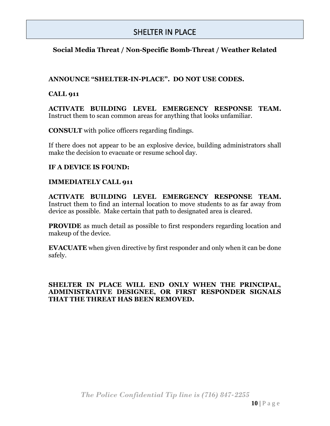## SHELTER IN PLACE

#### <span id="page-9-0"></span>**Social Media Threat / Non-Specific Bomb-Threat / Weather Related**

#### **ANNOUNCE "SHELTER-IN-PLACE". DO NOT USE CODES.**

#### **CALL 911**

**ACTIVATE BUILDING LEVEL EMERGENCY RESPONSE TEAM.**  Instruct them to scan common areas for anything that looks unfamiliar.

**CONSULT** with police officers regarding findings.

If there does not appear to be an explosive device, building administrators shall make the decision to evacuate or resume school day.

#### **IF A DEVICE IS FOUND:**

#### **IMMEDIATELY CALL 911**

**ACTIVATE BUILDING LEVEL EMERGENCY RESPONSE TEAM.**  Instruct them to find an internal location to move students to as far away from device as possible. Make certain that path to designated area is cleared.

**PROVIDE** as much detail as possible to first responders regarding location and makeup of the device.

**EVACUATE** when given directive by first responder and only when it can be done safely.

#### **SHELTER IN PLACE WILL END ONLY WHEN THE PRINCIPAL, ADMINISTRATIVE DESIGNEE, OR FIRST RESPONDER SIGNALS THAT THE THREAT HAS BEEN REMOVED.**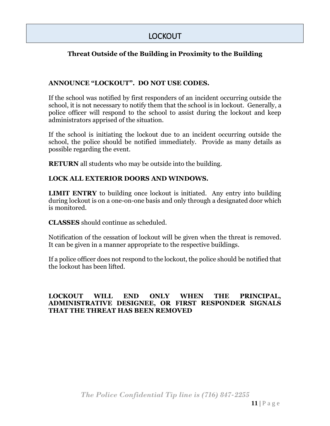# LOCKOUT

#### <span id="page-10-0"></span>**Threat Outside of the Building in Proximity to the Building**

#### **ANNOUNCE "LOCKOUT". DO NOT USE CODES.**

If the school was notified by first responders of an incident occurring outside the school, it is not necessary to notify them that the school is in lockout. Generally, a police officer will respond to the school to assist during the lockout and keep administrators apprised of the situation.

If the school is initiating the lockout due to an incident occurring outside the school, the police should be notified immediately. Provide as many details as possible regarding the event.

**RETURN** all students who may be outside into the building.

#### **LOCK ALL EXTERIOR DOORS AND WINDOWS.**

**LIMIT ENTRY** to building once lockout is initiated. Any entry into building during lockout is on a one-on-one basis and only through a designated door which is monitored.

**CLASSES** should continue as scheduled.

Notification of the cessation of lockout will be given when the threat is removed. It can be given in a manner appropriate to the respective buildings.

If a police officer does not respond to the lockout, the police should be notified that the lockout has been lifted.

#### **LOCKOUT WILL END ONLY WHEN THE PRINCIPAL, ADMINISTRATIVE DESIGNEE, OR FIRST RESPONDER SIGNALS THAT THE THREAT HAS BEEN REMOVED**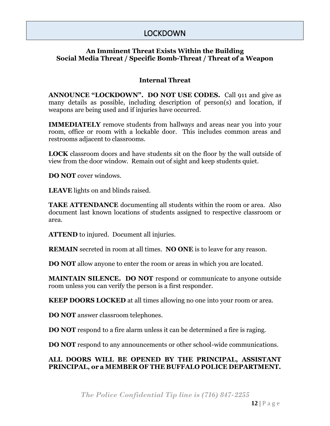## LOCKDOWN

#### <span id="page-11-0"></span>**An Imminent Threat Exists Within the Building Social Media Threat / Specific Bomb-Threat / Threat of a Weapon**

#### **Internal Threat**

**ANNOUNCE "LOCKDOWN". DO NOT USE CODES.** Call 911 and give as many details as possible, including description of person(s) and location, if weapons are being used and if injuries have occurred.

**IMMEDIATELY** remove students from hallways and areas near you into your room, office or room with a lockable door. This includes common areas and restrooms adjacent to classrooms.

**LOCK** classroom doors and have students sit on the floor by the wall outside of view from the door window. Remain out of sight and keep students quiet.

**DO NOT** cover windows.

**LEAVE** lights on and blinds raised.

**TAKE ATTENDANCE** documenting all students within the room or area. Also document last known locations of students assigned to respective classroom or area.

**ATTEND** to injured. Document all injuries.

**REMAIN** secreted in room at all times. **NO ONE** is to leave for any reason.

**DO NOT** allow anyone to enter the room or areas in which you are located.

**MAINTAIN SILENCE. DO NOT** respond or communicate to anyone outside room unless you can verify the person is a first responder.

**KEEP DOORS LOCKED** at all times allowing no one into your room or area.

**DO NOT** answer classroom telephones.

**DO NOT** respond to a fire alarm unless it can be determined a fire is raging.

**DO NOT** respond to any announcements or other school-wide communications.

#### **ALL DOORS WILL BE OPENED BY THE PRINCIPAL, ASSISTANT PRINCIPAL, or a MEMBER OF THE BUFFALO POLICE DEPARTMENT.**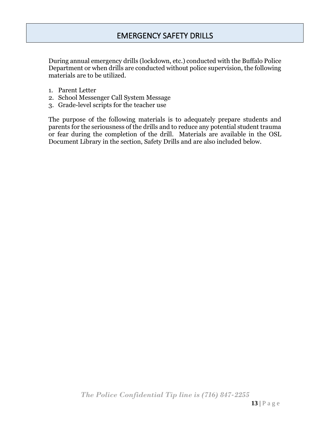# EMERGENCY SAFETY DRILLS

<span id="page-12-0"></span>During annual emergency drills (lockdown, etc.) conducted with the Buffalo Police Department or when drills are conducted without police supervision, the following materials are to be utilized.

- 1. Parent Letter
- 2. School Messenger Call System Message
- 3. Grade-level scripts for the teacher use

The purpose of the following materials is to adequately prepare students and parents for the seriousness of the drills and to reduce any potential student trauma or fear during the completion of the drill. Materials are available in the OSL Document Library in the section, Safety Drills and are also included below.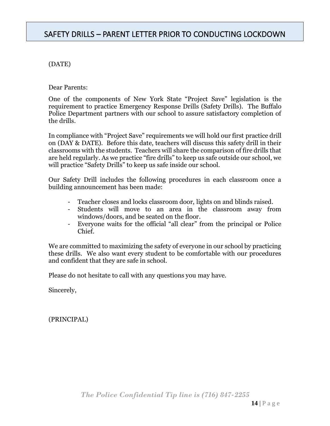# <span id="page-13-0"></span>SAFETY DRILLS – PARENT LETTER PRIOR TO CONDUCTING LOCKDOWN

#### (DATE)

Dear Parents:

One of the components of New York State "Project Save" legislation is the requirement to practice Emergency Response Drills (Safety Drills). The Buffalo Police Department partners with our school to assure satisfactory completion of the drills.

In compliance with "Project Save" requirements we will hold our first practice drill on (DAY & DATE). Before this date, teachers will discuss this safety drill in their classrooms with the students. Teachers will share the comparison of fire drills that are held regularly. As we practice "fire drills" to keep us safe outside our school, we will practice "Safety Drills" to keep us safe inside our school.

Our Safety Drill includes the following procedures in each classroom once a building announcement has been made:

- Teacher closes and locks classroom door, lights on and blinds raised.
- Students will move to an area in the classroom away from windows/doors, and be seated on the floor.
- Everyone waits for the official "all clear" from the principal or Police Chief.

We are committed to maximizing the safety of everyone in our school by practicing these drills. We also want every student to be comfortable with our procedures and confident that they are safe in school.

Please do not hesitate to call with any questions you may have.

Sincerely,

(PRINCIPAL)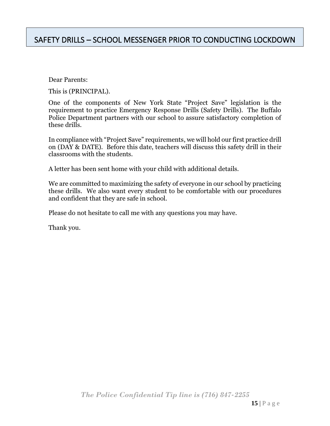<span id="page-14-0"></span>Dear Parents:

This is (PRINCIPAL).

One of the components of New York State "Project Save" legislation is the requirement to practice Emergency Response Drills (Safety Drills). The Buffalo Police Department partners with our school to assure satisfactory completion of these drills.

In compliance with "Project Save" requirements, we will hold our first practice drill on (DAY & DATE). Before this date, teachers will discuss this safety drill in their classrooms with the students.

A letter has been sent home with your child with additional details.

We are committed to maximizing the safety of everyone in our school by practicing these drills. We also want every student to be comfortable with our procedures and confident that they are safe in school.

Please do not hesitate to call me with any questions you may have.

Thank you.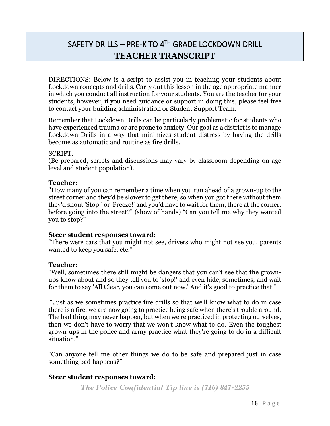# <span id="page-15-0"></span>SAFETY DRILLS – PRE-K TO 4TH GRADE LOCKDOWN DRILL **TEACHER TRANSCRIPT**

DIRECTIONS: Below is a script to assist you in teaching your students about Lockdown concepts and drills. Carry out this lesson in the age appropriate manner in which you conduct all instruction for your students. You are the teacher for your students, however, if you need guidance or support in doing this, please feel free to contact your building administration or Student Support Team.

Remember that Lockdown Drills can be particularly problematic for students who have experienced trauma or are prone to anxiety. Our goal as a district is to manage Lockdown Drills in a way that minimizes student distress by having the drills become as automatic and routine as fire drills.

#### SCRIPT:

(Be prepared, scripts and discussions may vary by classroom depending on age level and student population).

#### **Teacher**:

"How many of you can remember a time when you ran ahead of a grown-up to the street corner and they'd be slower to get there, so when you got there without them they'd shout 'Stop!' or 'Freeze!' and you'd have to wait for them, there at the corner, before going into the street?" (show of hands) "Can you tell me why they wanted you to stop?"

#### **Steer student responses toward:**

"There were cars that you might not see, drivers who might not see you, parents wanted to keep you safe, etc."

#### **Teacher:**

"Well, sometimes there still might be dangers that you can't see that the grownups know about and so they tell you to 'stop!' and even hide, sometimes, and wait for them to say 'All Clear, you can come out now.' And it's good to practice that."

"Just as we sometimes practice fire drills so that we'll know what to do in case there is a fire, we are now going to practice being safe when there's trouble around. The bad thing may never happen, but when we're practiced in protecting ourselves, then we don't have to worry that we won't know what to do. Even the toughest grown-ups in the police and army practice what they're going to do in a difficult situation."

"Can anyone tell me other things we do to be safe and prepared just in case something bad happens?"

#### **Steer student responses toward:**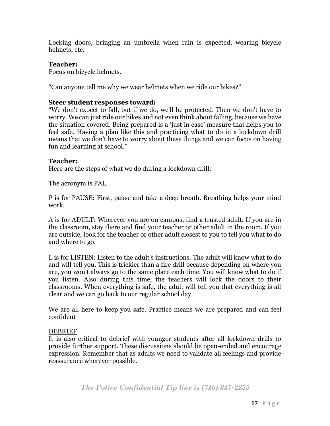Locking doors, bringing an umbrella when rain is expected, wearing bicycle helmets, etc.

#### **Teacher:**

Focus on bicycle helmets.

"Can anyone tell me why we wear helmets when we ride our bikes?"

#### **Steer student responses toward:**

"We don't expect to fall, but if we do, we'll be protected. Then we don't have to worry. We can just ride our bikes and not even think about falling, because we have the situation covered. Being prepared is a 'just in case' measure that helps you to feel safe. Having a plan like this and practicing what to do in a lockdown drill means that we don't have to worry about these things and we can focus on having fun and learning at school."

#### **Teacher:**

Here are the steps of what we do during a lockdown drill:

The acronym is PAL.

P is for PAUSE: First, pause and take a deep breath. Breathing helps your mind work.

A is for ADULT: Wherever you are on campus, find a trusted adult. If you are in the classroom, stay there and find your teacher or other adult in the room. If you are outside, look for the teacher or other adult closest to you to tell you what to do and where to go.

L is for LISTEN: Listen to the adult's instructions. The adult will know what to do and will tell you. This is trickier than a fire drill because depending on where you are, you won't always go to the same place each time. You will know what to do if you listen. Also during this time, the teachers will lock the doors to their classrooms. When everything is safe, the adult will tell you that everything is all clear and we can go back to our regular school day.

We are all here to keep you safe. Practice means we are prepared and can feel confident

#### DEBRIEF

It is also critical to debrief with younger students after all lockdown drills to provide further support. These discussions should be open-ended and encourage expression. Remember that as adults we need to validate all feelings and provide reassurance wherever possible.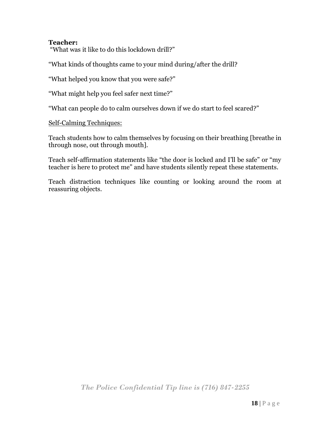#### **Teacher:**

"What was it like to do this lockdown drill?"

"What kinds of thoughts came to your mind during/after the drill?

"What helped you know that you were safe?"

"What might help you feel safer next time?"

"What can people do to calm ourselves down if we do start to feel scared?"

Self-Calming Techniques:

Teach students how to calm themselves by focusing on their breathing [breathe in through nose, out through mouth].

Teach self-affirmation statements like "the door is locked and I'll be safe" or "my teacher is here to protect me" and have students silently repeat these statements.

Teach distraction techniques like counting or looking around the room at reassuring objects.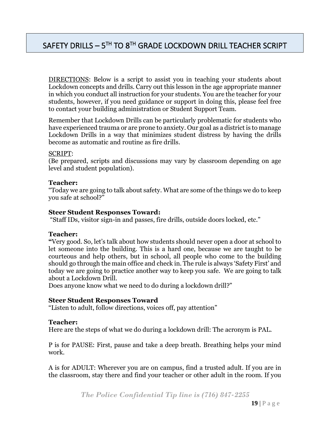# <span id="page-18-0"></span>SAFETY DRILLS  $-5^{\text{TH}}$  TO  $8^{\text{TH}}$  GRADE LOCKDOWN DRILL TEACHER SCRIPT

DIRECTIONS: Below is a script to assist you in teaching your students about Lockdown concepts and drills. Carry out this lesson in the age appropriate manner in which you conduct all instruction for your students. You are the teacher for your students, however, if you need guidance or support in doing this, please feel free to contact your building administration or Student Support Team.

Remember that Lockdown Drills can be particularly problematic for students who have experienced trauma or are prone to anxiety. Our goal as a district is to manage Lockdown Drills in a way that minimizes student distress by having the drills become as automatic and routine as fire drills.

#### SCRIPT:

(Be prepared, scripts and discussions may vary by classroom depending on age level and student population).

#### **Teacher:**

"Today we are going to talk about safety. What are some of the things we do to keep you safe at school?"

#### **Steer Student Responses Toward:**

"Staff IDs, visitor sign-in and passes, fire drills, outside doors locked, etc."

#### **Teacher:**

**"**Very good. So, let's talk about how students should never open a door at school to let someone into the building. This is a hard one, because we are taught to be courteous and help others, but in school, all people who come to the building should go through the main office and check in. The rule is always 'Safety First' and today we are going to practice another way to keep you safe. We are going to talk about a Lockdown Drill.

Does anyone know what we need to do during a lockdown drill?"

#### **Steer Student Responses Toward**

"Listen to adult, follow directions, voices off, pay attention"

#### **Teacher:**

Here are the steps of what we do during a lockdown drill: The acronym is PAL.

P is for PAUSE: First, pause and take a deep breath. Breathing helps your mind work.

A is for ADULT: Wherever you are on campus, find a trusted adult. If you are in the classroom, stay there and find your teacher or other adult in the room. If you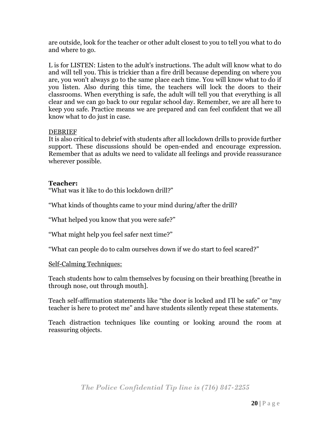are outside, look for the teacher or other adult closest to you to tell you what to do and where to go.

L is for LISTEN: Listen to the adult's instructions. The adult will know what to do and will tell you. This is trickier than a fire drill because depending on where you are, you won't always go to the same place each time. You will know what to do if you listen. Also during this time, the teachers will lock the doors to their classrooms. When everything is safe, the adult will tell you that everything is all clear and we can go back to our regular school day. Remember, we are all here to keep you safe. Practice means we are prepared and can feel confident that we all know what to do just in case.

#### DEBRIEF

It is also critical to debrief with students after all lockdown drills to provide further support. These discussions should be open-ended and encourage expression. Remember that as adults we need to validate all feelings and provide reassurance wherever possible.

#### **Teacher:**

"What was it like to do this lockdown drill?"

"What kinds of thoughts came to your mind during/after the drill?

"What helped you know that you were safe?"

"What might help you feel safer next time?"

"What can people do to calm ourselves down if we do start to feel scared?"

#### Self-Calming Techniques:

Teach students how to calm themselves by focusing on their breathing [breathe in through nose, out through mouth].

Teach self-affirmation statements like "the door is locked and I'll be safe" or "my teacher is here to protect me" and have students silently repeat these statements.

Teach distraction techniques like counting or looking around the room at reassuring objects.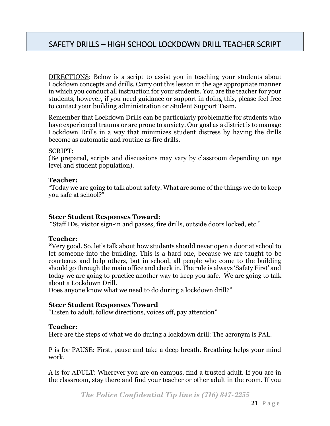<span id="page-20-0"></span>DIRECTIONS: Below is a script to assist you in teaching your students about Lockdown concepts and drills. Carry out this lesson in the age appropriate manner in which you conduct all instruction for your students. You are the teacher for your students, however, if you need guidance or support in doing this, please feel free to contact your building administration or Student Support Team.

Remember that Lockdown Drills can be particularly problematic for students who have experienced trauma or are prone to anxiety. Our goal as a district is to manage Lockdown Drills in a way that minimizes student distress by having the drills become as automatic and routine as fire drills.

#### SCRIPT:

(Be prepared, scripts and discussions may vary by classroom depending on age level and student population).

#### **Teacher:**

"Today we are going to talk about safety. What are some of the things we do to keep you safe at school?"

#### **Steer Student Responses Toward:**

"Staff IDs, visitor sign-in and passes, fire drills, outside doors locked, etc."

#### **Teacher:**

**"**Very good. So, let's talk about how students should never open a door at school to let someone into the building. This is a hard one, because we are taught to be courteous and help others, but in school, all people who come to the building should go through the main office and check in. The rule is always 'Safety First' and today we are going to practice another way to keep you safe. We are going to talk about a Lockdown Drill.

Does anyone know what we need to do during a lockdown drill?"

#### **Steer Student Responses Toward**

"Listen to adult, follow directions, voices off, pay attention"

#### **Teacher:**

Here are the steps of what we do during a lockdown drill: The acronym is PAL.

P is for PAUSE: First, pause and take a deep breath. Breathing helps your mind work.

A is for ADULT: Wherever you are on campus, find a trusted adult. If you are in the classroom, stay there and find your teacher or other adult in the room. If you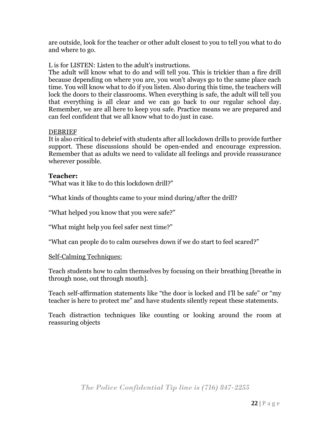are outside, look for the teacher or other adult closest to you to tell you what to do and where to go.

L is for LISTEN: Listen to the adult's instructions.

The adult will know what to do and will tell you. This is trickier than a fire drill because depending on where you are, you won't always go to the same place each time. You will know what to do if you listen. Also during this time, the teachers will lock the doors to their classrooms. When everything is safe, the adult will tell you that everything is all clear and we can go back to our regular school day. Remember, we are all here to keep you safe. Practice means we are prepared and can feel confident that we all know what to do just in case.

#### DEBRIEF

It is also critical to debrief with students after all lockdown drills to provide further support. These discussions should be open-ended and encourage expression. Remember that as adults we need to validate all feelings and provide reassurance wherever possible.

#### **Teacher:**

"What was it like to do this lockdown drill?"

"What kinds of thoughts came to your mind during/after the drill?

"What helped you know that you were safe?"

"What might help you feel safer next time?"

"What can people do to calm ourselves down if we do start to feel scared?"

#### Self-Calming Techniques:

Teach students how to calm themselves by focusing on their breathing [breathe in through nose, out through mouth].

Teach self-affirmation statements like "the door is locked and I'll be safe" or "my teacher is here to protect me" and have students silently repeat these statements.

Teach distraction techniques like counting or looking around the room at reassuring objects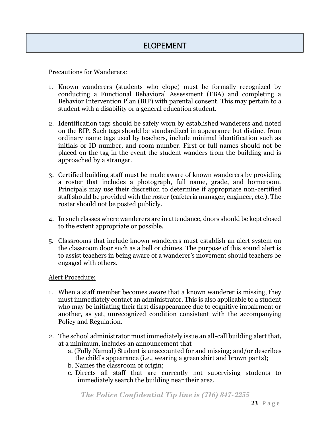#### <span id="page-22-0"></span>Precautions for Wanderers:

- 1. Known wanderers (students who elope) must be formally recognized by conducting a Functional Behavioral Assessment (FBA) and completing a Behavior Intervention Plan (BIP) with parental consent. This may pertain to a student with a disability or a general education student.
- 2. Identification tags should be safely worn by established wanderers and noted on the BIP. Such tags should be standardized in appearance but distinct from ordinary name tags used by teachers, include minimal identification such as initials or ID number, and room number. First or full names should not be placed on the tag in the event the student wanders from the building and is approached by a stranger.
- 3. Certified building staff must be made aware of known wanderers by providing a roster that includes a photograph, full name, grade, and homeroom. Principals may use their discretion to determine if appropriate non-certified staff should be provided with the roster (cafeteria manager, engineer, etc.). The roster should not be posted publicly.
- 4. In such classes where wanderers are in attendance, doors should be kept closed to the extent appropriate or possible.
- 5. Classrooms that include known wanderers must establish an alert system on the classroom door such as a bell or chimes. The purpose of this sound alert is to assist teachers in being aware of a wanderer's movement should teachers be engaged with others.

#### Alert Procedure:

- 1. When a staff member becomes aware that a known wanderer is missing, they must immediately contact an administrator. This is also applicable to a student who may be initiating their first disappearance due to cognitive impairment or another, as yet, unrecognized condition consistent with the accompanying Policy and Regulation.
- 2. The school administrator must immediately issue an all-call building alert that, at a minimum, includes an announcement that
	- a. (Fully Named) Student is unaccounted for and missing; and/or describes the child's appearance (i.e., wearing a green shirt and brown pants);
	- b. Names the classroom of origin;
	- c. Directs all staff that are currently not supervising students to immediately search the building near their area.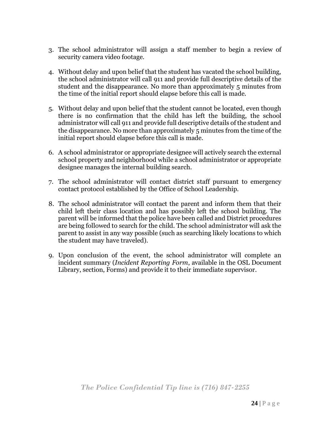- 3. The school administrator will assign a staff member to begin a review of security camera video footage.
- 4. Without delay and upon belief that the student has vacated the school building, the school administrator will call 911 and provide full descriptive details of the student and the disappearance. No more than approximately 5 minutes from the time of the initial report should elapse before this call is made.
- 5. Without delay and upon belief that the student cannot be located, even though there is no confirmation that the child has left the building, the school administrator will call 911 and provide full descriptive details of the student and the disappearance. No more than approximately 5 minutes from the time of the initial report should elapse before this call is made.
- 6. A school administrator or appropriate designee will actively search the external school property and neighborhood while a school administrator or appropriate designee manages the internal building search.
- 7. The school administrator will contact district staff pursuant to emergency contact protocol established by the Office of School Leadership.
- 8. The school administrator will contact the parent and inform them that their child left their class location and has possibly left the school building. The parent will be informed that the police have been called and District procedures are being followed to search for the child. The school administrator will ask the parent to assist in any way possible (such as searching likely locations to which the student may have traveled).
- 9. Upon conclusion of the event, the school administrator will complete an incident summary (*Incident Reporting Form*, available in the OSL Document Library, section, Forms) and provide it to their immediate supervisor.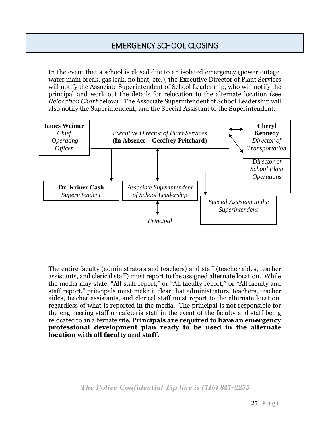# EMERGENCY SCHOOL CLOSING

<span id="page-24-0"></span>In the event that a school is closed due to an isolated emergency (power outage, water main break, gas leak, no heat, etc.), the Executive Director of Plant Services will notify the Associate Superintendent of School Leadership, who will notify the principal and work out the details for relocation to the alternate location (see *Relocation Chart* below). The Associate Superintendent of School Leadership will also notify the Superintendent, and the Special Assistant to the Superintendent.



The entire faculty (administrators and teachers) and staff (teacher aides, teacher assistants, and clerical staff) must report to the assigned alternate location. While the media may state, "All staff report," or "All faculty report," or "All faculty and staff report," principals must make it clear that administrators, teachers, teacher aides, teacher assistants, and clerical staff must report to the alternate location, regardless of what is reported in the media. The principal is not responsible for the engineering staff or cafeteria staff in the event of the faculty and staff being relocated to an alternate site. **Principals are required to have an emergency professional development plan ready to be used in the alternate location with all faculty and staff.**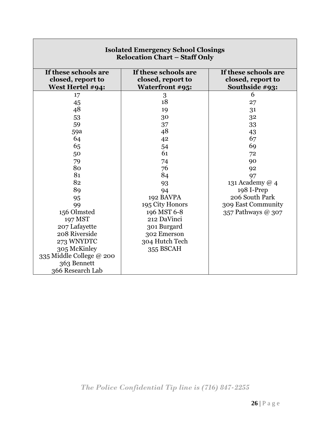| <b>Isolated Emergency School Closings</b><br><b>Relocation Chart - Staff Only</b>                                                                     |                                                                                         |                      |  |  |  |  |  |
|-------------------------------------------------------------------------------------------------------------------------------------------------------|-----------------------------------------------------------------------------------------|----------------------|--|--|--|--|--|
| If these schools are                                                                                                                                  | If these schools are                                                                    | If these schools are |  |  |  |  |  |
| closed, report to                                                                                                                                     | closed, report to                                                                       | closed, report to    |  |  |  |  |  |
| West Hertel #94:                                                                                                                                      | Waterfront #95:                                                                         | Southside #93:       |  |  |  |  |  |
| 17                                                                                                                                                    | 3                                                                                       | 6                    |  |  |  |  |  |
| 45                                                                                                                                                    | 18                                                                                      | 27                   |  |  |  |  |  |
| 48                                                                                                                                                    | 19                                                                                      | 31                   |  |  |  |  |  |
| 53                                                                                                                                                    | 30                                                                                      | 32                   |  |  |  |  |  |
| 59                                                                                                                                                    | 37                                                                                      | 33                   |  |  |  |  |  |
| 59a                                                                                                                                                   | 48                                                                                      | 43                   |  |  |  |  |  |
| 64                                                                                                                                                    | 42                                                                                      | 67                   |  |  |  |  |  |
| 65                                                                                                                                                    | 54                                                                                      | 69                   |  |  |  |  |  |
| 50                                                                                                                                                    | 61                                                                                      | 72                   |  |  |  |  |  |
| 79                                                                                                                                                    | 74                                                                                      | 90                   |  |  |  |  |  |
| 80                                                                                                                                                    | 76                                                                                      | 92                   |  |  |  |  |  |
| 81                                                                                                                                                    | 84                                                                                      | 97                   |  |  |  |  |  |
| 82                                                                                                                                                    | 93                                                                                      | 131 Academy @ 4      |  |  |  |  |  |
| 89                                                                                                                                                    | 94                                                                                      | 198 I-Prep           |  |  |  |  |  |
| 95                                                                                                                                                    | 192 BAVPA                                                                               | 206 South Park       |  |  |  |  |  |
| 99                                                                                                                                                    | 195 City Honors                                                                         | 309 East Community   |  |  |  |  |  |
| 156 Olmsted<br>197 MST<br>207 Lafayette<br>208 Riverside<br>273 WNYDTC<br>305 McKinley<br>335 Middle College @ 200<br>363 Bennett<br>366 Research Lab | 196 MST 6-8<br>212 DaVinci<br>301 Burgard<br>302 Emerson<br>304 Hutch Tech<br>355 BSCAH | 357 Pathways @ 307   |  |  |  |  |  |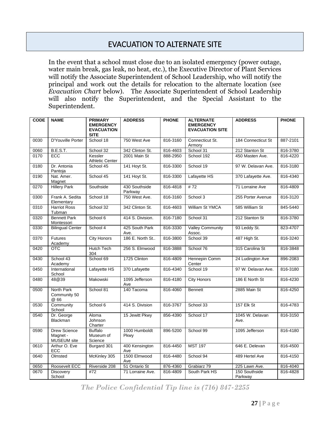# EVACUATION TO ALTERNATE SITE

<span id="page-26-0"></span>In the event that a school must close due to an isolated emergency (power outage, water main break, gas leak, no heat, etc.), the Executive Director of Plant Services will notify the Associate Superintendent of School Leadership, who will notify the principal and work out the details for relocation to the alternate location (see *Evacuation Chart* below). The Associate Superintendent of School Leadership will also notify the Superintendent, and the Special Assistant to the Superintendent.

| <b>CODE</b> | <b>NAME</b>                                    | <b>PRIMARY</b><br><b>EMERGENCY</b><br><b>EVACUATION</b><br><b>SITE</b> | <b>ADDRESS</b>           | <b>PHONE</b> | <b>ALTERNATE</b><br><b>EMERGENCY</b><br><b>EVACUATION SITE</b> | <b>ADDRESS</b>           | <b>PHONE</b> |
|-------------|------------------------------------------------|------------------------------------------------------------------------|--------------------------|--------------|----------------------------------------------------------------|--------------------------|--------------|
| 0030        | D'Youville Porter                              | School 18                                                              | 750 West Ave             | 816-3160     | Connecticut St.<br>Armory                                      | 184 Connecticut St       | 887-2101     |
| 0060        | B.E.S.T.                                       | School 32                                                              | 342 Clinton St.          | 816-4603     | School 31                                                      | 212 Stanton St           | 816-3780     |
| 0170        | <b>ECC</b>                                     | Kessler<br><b>Athletic Center</b>                                      | 2001 Main St             | 888-2950     | School 192                                                     | 450 Masten Ave.          | 816-4220     |
| 0180        | Dr. Antonia<br>Pantoja                         | School 45                                                              | 141 Hoyt St.             | 816-3300     | School 19                                                      | 97 W. Delavan Ave.       | 816-3180     |
| 0190        | Nat. Amer.<br>Magnet                           | School 45                                                              | 141 Hoyt St.             | 816-3300     | Lafayette HS                                                   | 370 Lafayette Ave.       | 816-4340     |
| 0270        | <b>Hillery Park</b>                            | Southside                                                              | 430 Southside<br>Parkway | 816-4818     | #72                                                            | 71 Lorraine Ave          | 816-4809     |
| 0300        | Frank A. Sedita<br>Elementary                  | School 18                                                              | 750 West Ave.            | 816-3160     | School 3                                                       | 255 Porter Avenue        | 816-3120     |
| 0310        | <b>Harriot Ross</b><br>Tubman                  | School 32                                                              | 342 Clinton St.          | 816-4603     | William St YMCA                                                | 585 William St           | 845-5440     |
| 0320        | <b>Bennett Park</b><br>Montessori              | School 6                                                               | 414 S. Division.         | 816-7180     | School 31                                                      | 212 Stanton St           | 816-3780     |
| 0330        | <b>Bilingual Center</b>                        | School 4                                                               | 425 South Park<br>Ave.   | 816-3330     | <b>Valley Community</b><br>Assoc.                              | 93 Leddy St.             | 823-4707     |
| 0370        | <b>Futures</b><br>Academy                      | <b>City Honors</b>                                                     | 186 E. North St          | 816-3800     | School 39                                                      | 487 High St.             | 816-3240     |
| 0420        | <b>OTC</b>                                     | <b>Hutch Tech</b><br>304                                               | 256 S. Elmwood           | 816-3888     | School 76                                                      | 315 Carolina St          | 816-3848     |
| 0430        | School 43<br>Academy                           | School 69                                                              | 1725 Clinton             | 816-4809     | Hennepin Comm<br>Center                                        | 24 Ludington Ave         | 896-2083     |
| 0450        | International<br>School                        | Lafayette HS                                                           | 370 Lafayette            | 816-4340     | School 19                                                      | 97 W. Delavan Ave.       | 816-3180     |
| 0480        | 48@39                                          | Makowski                                                               | 1095 Jefferson<br>Ave    | 816-4180     | <b>City Honors</b>                                             | 186 E North St           | 816-4230     |
| 0500        | North Park<br>Community 50<br>@ 66             | School 81                                                              | 140 Tacoma               | 816-4060     | <b>Bennett</b>                                                 | 2885 Main St             | 816-4250     |
| 0530        | Community<br>School                            | School 6                                                               | 414 S. Division          | 816-3767     | School 33                                                      | 157 Elk St               | 816-4783     |
| 0540        | Dr. George<br>Blackman                         | Aloma<br><b>Johnson</b><br>Charter                                     | 15 Jewitt Pkwy           | 856-4390     | School 17                                                      | 1045 W. Delavan<br>Ave.  | 816-3150     |
| 0590        | <b>Drew Science</b><br>Magnet -<br>MUSEUM site | <b>Buffalo</b><br>Museum of<br>Science                                 | 1000 Humboldt<br>Pkwy    | 896-5200     | School 99                                                      | 1095 Jefferson           | 816-4180     |
| 0610        | Arthur O. Eve<br>ECC                           | Burgard 301                                                            | 400 Kensington<br>Ave    | 816-4450     | <b>MST 197</b>                                                 | 646 E. Delevan           | 816-4500     |
| 0640        | Olmsted                                        | McKinley 305                                                           | 1500 Elmwood<br>Ave      | 816-4480     | School 94                                                      | 489 Hertel Ave           | 816-4150     |
| 0650        | Roosevelt ECC                                  | Riverside 208                                                          | 51 Ontario St            | 876-4360     | Grabiarz 79                                                    | 225 Lawn Ave.            | 816-4040     |
| 0670        | <b>Discovery</b><br>School                     | #72                                                                    | 71 Lorraine Ave.         | 816-4809     | South Park HS                                                  | 150 Southside<br>Parkway | 816-4828     |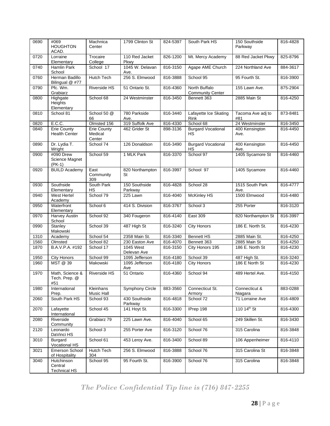| 0690 | #069<br><b>HOUGHTON</b><br>ACAD.             | Machnica<br>Center                      | 1799 Clinton St          | 824-5397 | South Park HS                            | 150 Southside<br>Parkway | 816-4828 |
|------|----------------------------------------------|-----------------------------------------|--------------------------|----------|------------------------------------------|--------------------------|----------|
| 0720 | Lorraine<br>Elementary                       | Trocaire<br>College                     | 110 Red Jacket<br>Pkwy   | 826-1200 | Mt. Mercy Academy                        | 88 Red Jacket Pkwy       | 825-8796 |
| 0740 | Hamlin Park<br>School                        | School 17                               | 1045 W. Delavan<br>Ave.  | 816-3150 | Agape AME Church                         | 224 Northland Ave        | 884-3617 |
| 0760 | Herman Badillo<br>Bilingual @ #77            | <b>Hutch Tech</b>                       | 256 S. Elmwood           | 816-3888 | School 95                                | 95 Fourth St.            | 816-3900 |
| 0790 | Pfc. Wm.<br>Grabiarz                         | <b>Riverside HS</b>                     | 51 Ontario St.           | 816-4360 | North Buffalo<br><b>Community Center</b> | 155 Lawn Ave.            | 875-2904 |
| 0800 | Highgate<br>Heights<br>Elementary            | School 68                               | 24 Westminster           | 816-3450 | Bennett 363                              | 2885 Main St             | 816-4250 |
| 0810 | School 81                                    | School 50 @<br>66                       | 780 Parkside<br>Ave.     | 816-3440 | Lafayette Ice Skating<br>Rink            | Tacoma Ave adj to<br>#81 | 873-8481 |
| 0820 | E.C.C.                                       | Olmsted 156                             | 319 Suffolk Ave          | 816-4330 | School 68                                | 24 Westminster           | 816-3450 |
| 0840 | <b>Erie County</b><br><b>Health Center</b>   | <b>Erie County</b><br>Medical<br>Center | 462 Grider St            | 898-3136 | <b>Burgard Vocational</b><br>НS          | 400 Kensington<br>Ave.   | 816-4450 |
| 0890 | Dr. Lydia T.<br>Wright                       | School 74                               | 126 Donaldson            | 816-3490 | <b>Burgard Vocational</b><br><b>HS</b>   | 400 Kensington<br>Ave.   | 816-4450 |
| 0900 | #090 Drew<br>Science Magnet<br>$(PK-1)$      | School 59                               | 1 MLK Park               | 816-3370 | School 97                                | 1405 Sycamore St         | 816-4460 |
| 0920 | <b>BUILD Academy</b>                         | East<br>Community<br>309                | 820 Northampton<br>St    | 816-3997 | School 97                                | 1405 Sycamore            | 816-4460 |
| 0930 | Southside<br>Elementary                      | South Park<br>НS                        | 150 Southside<br>Parkway | 816-4828 | School 28                                | 1515 South Park<br>Ave.  | 816-4777 |
| 0940 | West Hertel<br>Academy                       | School 79                               | 225 Lawn                 | 816-4040 | <b>McKinley HS</b>                       | 1500 Elmwood             | 816-4480 |
| 0950 | Waterfront<br>Elementary                     | School 6                                | 414 S. Division          | 816-3767 | School 3                                 | 255 Porter               | 816-3120 |
| 0970 | <b>Harvey Austin</b><br>School               | School 92                               | 340 Fougeron             | 816-4140 | <b>East 309</b>                          | 820 Northampton St       | 816-3997 |
| 0990 | Stanley<br>Makowski                          | School 39                               | 487 High St              | 816-3240 | <b>City Honors</b>                       | 186 E. North St.         | 816-4230 |
| 1310 | Academy                                      | School 54                               | 2358 Main St.            | 816-3340 | <b>Bennett HS</b>                        | 2885 Main St.            | 816-4250 |
| 1560 | Olmsted                                      | School 82                               | 230 Easton Ave           | 816-4070 | Bennett 363                              | 2885 Main St             | 816-4250 |
| 1870 | B.A.V.P.A. #192                              | School 17                               | 1045 West<br>Delevan Ave | 816-3150 | City Honors 195                          | 186 E. North St          | 816-4230 |
| 1950 | <b>City Honors</b>                           | School 99                               | 1095 Jefferson           | 816-4180 | School 39                                | 487 High St.             | 816-3240 |
| 1960 | MST @ 39                                     | Makowski                                | 1095 Jefferson<br>Ave    | 816-4180 | <b>City Honors</b>                       | 186 E North St           | 816-4230 |
| 1970 | Math, Science &<br>Tech. Prep. @<br>#51      | Riverside HS                            | 51 Ontario               | 816-4360 | School 94                                | 489 Hertel Ave.          | 816-4150 |
| 1980 | International<br>Prep.                       | Kleinhans<br>Music Hall                 | <b>Symphony Circle</b>   | 883-3560 | Connecticut St.<br>Armory                | Connecticut &<br>Niagara | 883-0288 |
| 2060 | South Park HS                                | School 93                               | 430 Southside<br>Parkway | 816-4818 | School 72                                | 71 Lorraine Ave          | 816-4809 |
| 2070 | Lafayette<br>International                   | School 45                               | 141 Hoyt St.             | 816-3300 | IPrep 198                                | 110 14th St              | 816-4300 |
| 2080 | Riverside<br>Community                       | Grabiarz 79                             | 225 Lawn Ave.            | 816-4040 | School 65                                | 249 Skillen St.          | 816-3430 |
| 2120 | Leonardo<br>DaVinci HS                       | School 3                                | 255 Porter Ave           | 816-3120 | School 76                                | 315 Carolina             | 816-3848 |
| 3010 | Burgard<br>Vocational HS                     | School 61                               | 453 Leroy Ave.           | 816-3400 | School 89                                | 106 Appenheimer          | 816-4110 |
| 3021 | Emerson School<br>of Hospitality             | <b>Hutch Tech</b><br>304                | 256 S. Elmwood           | 816-3888 | School 76                                | 315 Carolina St          | 816-3848 |
| 3040 | Hutchinson<br>Central<br><b>Technical HS</b> | School 95                               | 95 Fourth St.            | 816-3900 | School 76                                | 315 Carolina             | 816-3848 |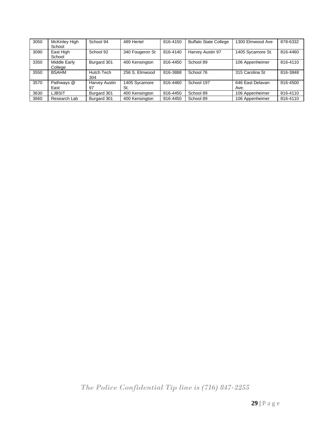| 3050 | McKinley High<br>School | School 94                | 489 Hertel           | 816-4150 | <b>Buffalo State College</b> | 1300 Elmwood Ave         | 878-6332 |
|------|-------------------------|--------------------------|----------------------|----------|------------------------------|--------------------------|----------|
| 3090 | East High<br>School     | School 92                | 340 Fougeron St      | 816-4140 | Harvey Austin 97             | 1405 Sycamore St.        | 816-4460 |
| 3350 | Middle Early<br>College | Burgard 301              | 400 Kensington       | 816-4450 | School 89                    | 106 Appenheimer          | 816-4110 |
| 3550 | <b>BSAHM</b>            | <b>Hutch Tech</b><br>304 | 256 S. Elmwood       | 816-3888 | School 76                    | 315 Carolina St          | 816-3848 |
| 3570 | Pathways @<br>East      | Harvey Austin<br>97      | 1405 Sycamore<br>St. | 816-4460 | School 197                   | 646 East Delavan<br>Ave. | 816-4500 |
| 3630 | LJBSIT                  | Burgard 301              | 400 Kensington       | 816-4450 | School 89                    | 106 Appenheimer          | 816-4110 |
| 3660 | Research Lab            | Burgard 301              | 400 Kensington       | 816-4450 | School 89                    | 106 Appenheimer          | 816-4110 |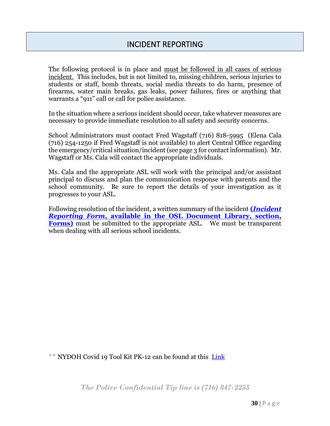The following protocol is in place and must be followed in all cases of serious incident. This includes, but is not limited to, missing children, serious injuries to students or staff, bomb threats, social media threats to do harm, presence of firearms, water main breaks, gas leaks, power failures, fires or anything that warrants a "911" call or call for police assistance.

In the situation where a serious incident should occur, take whatever measures are necessary to provide immediate resolution to all safety and security concerns.

School Administrators must contact Fred Wagstaff (716) 818-5995 (Elena Cala (716) 254-1250 if Fred Wagstaff is not available) to alert Central Office regarding the emergency/critical situation/incident (see page 3 for contact information). Mr. Wagstaff or Ms. Cala will contact the appropriate individuals.

Ms. Cala and the appropriate ASL will work with the principal and/or assistant principal to discuss and plan the communication response with parents and the school community. Be sure to report the details of your investigation as it progresses to your ASL.

Following resolution of the incident, a written summary of the incident **(***[Incident](https://www.buffaloschools.org/Page/1217)  Reporting Form***[, available in the OSL Document Library, section,](https://www.buffaloschools.org/Page/1217)  [Forms\)](https://www.buffaloschools.org/Page/1217)** must be submitted to the appropriate ASL. We must be transparent when dealing with all serious school incidents.

\*\* NYDOH Covid 19 Tool Kit PK-12 can be found at this [Link](https://www.buffaloschools.org/cms/lib/NY01913551/Centricity/Domain/7225/nysdoh_prekgr12_toolkit_update-020121.pdf)